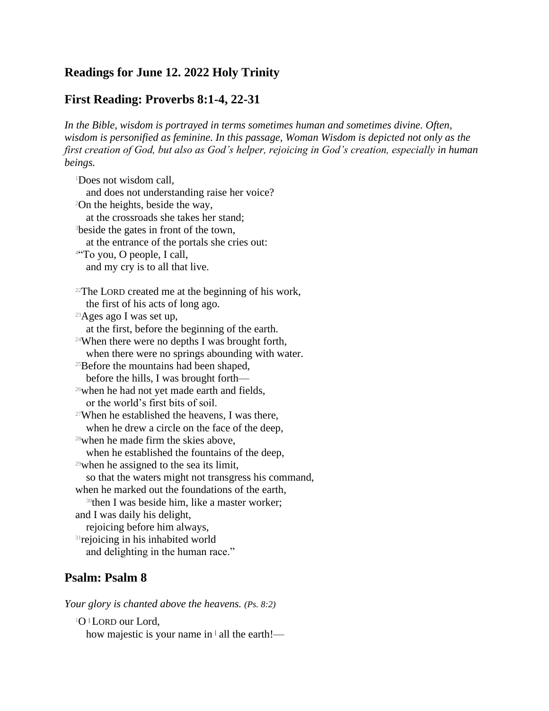### **Readings for June 12. 2022 Holy Trinity**

#### **First Reading: Proverbs 8:1-4, 22-31**

*In the Bible, wisdom is portrayed in terms sometimes human and sometimes divine. Often, wisdom is personified as feminine. In this passage, Woman Wisdom is depicted not only as the first creation of God, but also as God's helper, rejoicing in God's creation, especially in human beings.*

<sup>1</sup>Does not wisdom call, and does not understanding raise her voice? <sup>2</sup>On the heights, beside the way, at the crossroads she takes her stand; <sup>3</sup>beside the gates in front of the town, at the entrance of the portals she cries out: <sup>4</sup>"To you, O people, I call, and my cry is to all that live.  $22$ The LORD created me at the beginning of his work, the first of his acts of long ago. <sup>23</sup>Ages ago I was set up, at the first, before the beginning of the earth. <sup>24</sup>When there were no depths I was brought forth, when there were no springs abounding with water. <sup>25</sup>Before the mountains had been shaped, before the hills, I was brought forth— <sup>26</sup>when he had not yet made earth and fields, or the world's first bits of soil. <sup>27</sup>When he established the heavens, I was there, when he drew a circle on the face of the deep, <sup>28</sup>when he made firm the skies above, when he established the fountains of the deep, <sup>29</sup>when he assigned to the sea its limit, so that the waters might not transgress his command, when he marked out the foundations of the earth, <sup>30</sup>then I was beside him, like a master worker; and I was daily his delight, rejoicing before him always, <sup>31</sup> rejoicing in his inhabited world and delighting in the human race."

### **Psalm: Psalm 8**

*Your glory is chanted above the heavens. (Ps. 8:2)*

<sup>1</sup>O **<sup>|</sup>** LORD our Lord, how majestic is your name in **<sup>|</sup>** all the earth!—